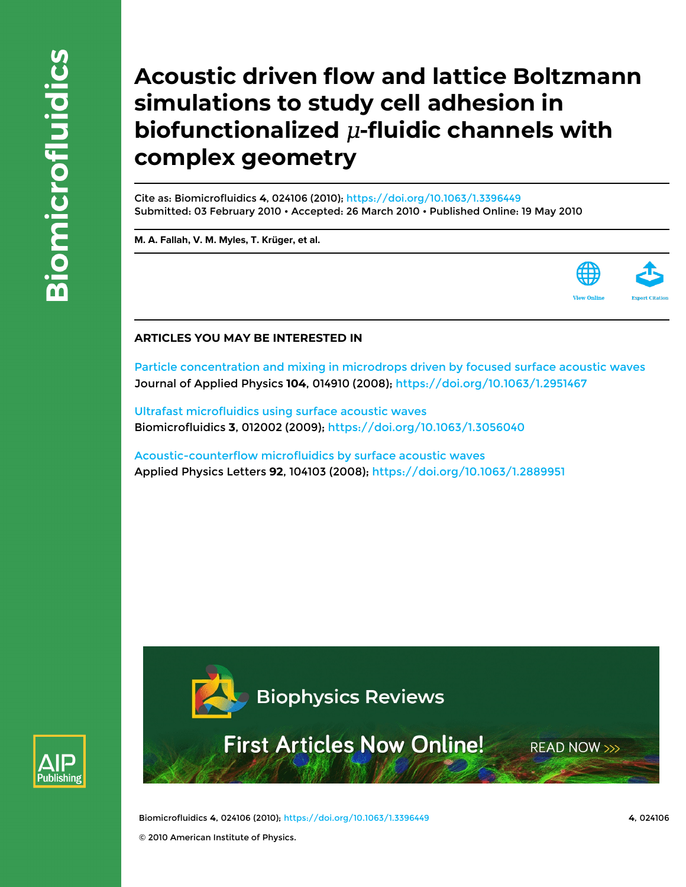# **Acoustic driven flow and lattice Boltzmann simulations to study cell adhesion in biofunctionalized**  $\mu$ **-fluidic channels with complex geometry**

Cite as: Biomicrofluidics **4**, 024106 (2010);<https://doi.org/10.1063/1.3396449> Submitted: 03 February 2010 • Accepted: 26 March 2010 • Published Online: 19 May 2010

**[M. A. Fallah,](https://aip.scitation.org/author/Fallah%2C+M+A) [V. M. Myles](https://aip.scitation.org/author/Myles%2C+V+M), [T. Krüger](https://aip.scitation.org/author/Kr%C3%BCger%2C+T), et al.**



### **ARTICLES YOU MAY BE INTERESTED IN**

[Particle concentration and mixing in microdrops driven by focused surface acoustic waves](https://aip.scitation.org/doi/10.1063/1.2951467) Journal of Applied Physics **104**, 014910 (2008);<https://doi.org/10.1063/1.2951467>

[Ultrafast microfluidics using surface acoustic waves](https://aip.scitation.org/doi/10.1063/1.3056040) Biomicrofluidics **3**, 012002 (2009); <https://doi.org/10.1063/1.3056040>

[Acoustic-counterflow microfluidics by surface acoustic waves](https://aip.scitation.org/doi/10.1063/1.2889951) Applied Physics Letters **92**, 104103 (2008);<https://doi.org/10.1063/1.2889951>





**First Articles Now Online!** 

**READ NOW >>>** 

Biomicrofluidics **4**, 024106 (2010);<https://doi.org/10.1063/1.3396449> **4**, 024106 © 2010 American Institute of Physics.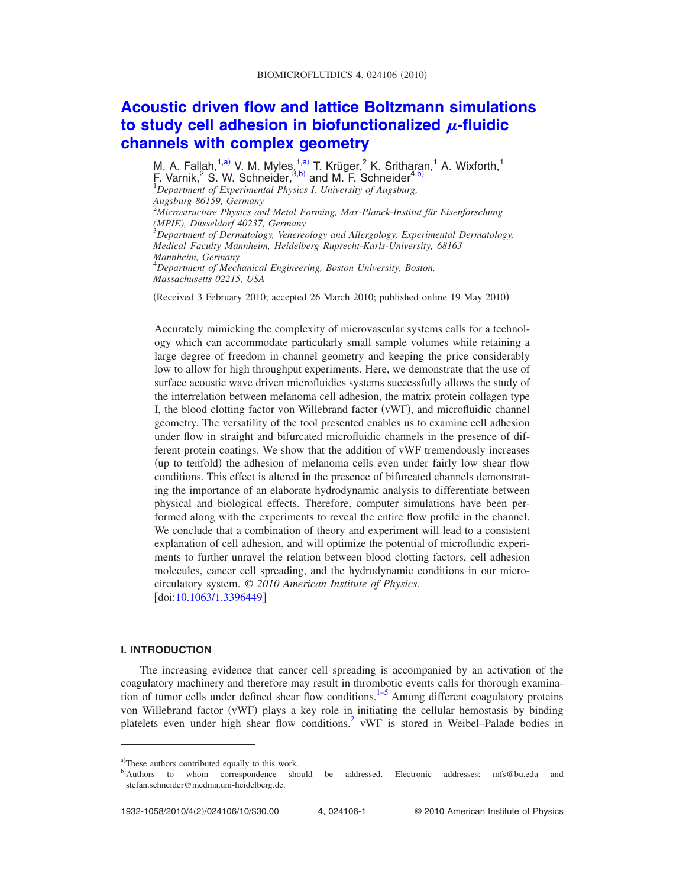## **[Acoustic driven flow and lattice Boltzmann simulations](http://dx.doi.org/10.1063/1.3396449)** [to study cell adhesion in biofunctionalized](http://dx.doi.org/10.1063/1.3396449)  $\mu$ -fluidic **[channels with complex geometry](http://dx.doi.org/10.1063/1.3396449)**

M. A. Fallah,<sup>1[,a](#page-1-0))</sup> V. M. Myles,<sup>1,a)</sup> T. Krüger,<sup>2</sup> K. Sritharan,<sup>1</sup> A. Wixforth,<sup>1</sup> F. Varnik,<sup>2</sup> S. W. Schneider,  $3, b$  and M. F. Schneider<sup>4[,b](#page-1-1))</sup> *Department of Experimental Physics I, University of Augsburg, Augsburg 86159, Germany* 2 *Microstructure Physics and Metal Forming, Max-Planck-Institut für Eisenforschung (MPIE), Düsseldorf 40237, Germany* 3 *Department of Dermatology, Venereology and Allergology, Experimental Dermatology,*

*Medical Faculty Mannheim, Heidelberg Ruprecht-Karls-University, 68163 Mannheim, Germany* 4 *Department of Mechanical Engineering, Boston University, Boston, Massachusetts 02215, USA*

(Received 3 February 2010; accepted 26 March 2010; published online 19 May 2010)

Accurately mimicking the complexity of microvascular systems calls for a technology which can accommodate particularly small sample volumes while retaining a large degree of freedom in channel geometry and keeping the price considerably low to allow for high throughput experiments. Here, we demonstrate that the use of surface acoustic wave driven microfluidics systems successfully allows the study of the interrelation between melanoma cell adhesion, the matrix protein collagen type I, the blood clotting factor von Willebrand factor (vWF), and microfluidic channel geometry. The versatility of the tool presented enables us to examine cell adhesion under flow in straight and bifurcated microfluidic channels in the presence of different protein coatings. We show that the addition of vWF tremendously increases (up to tenfold) the adhesion of melanoma cells even under fairly low shear flow conditions. This effect is altered in the presence of bifurcated channels demonstrating the importance of an elaborate hydrodynamic analysis to differentiate between physical and biological effects. Therefore, computer simulations have been performed along with the experiments to reveal the entire flow profile in the channel. We conclude that a combination of theory and experiment will lead to a consistent explanation of cell adhesion, and will optimize the potential of microfluidic experiments to further unravel the relation between blood clotting factors, cell adhesion molecules, cancer cell spreading, and the hydrodynamic conditions in our microcirculatory system. © *2010 American Institute of Physics.*  $\left[$ doi[:10.1063/1.3396449](http://dx.doi.org/10.1063/1.3396449)]

#### **I. INTRODUCTION**

The increasing evidence that cancer cell spreading is accompanied by an activation of the coagulatory machinery and therefore may result in thrombotic events calls for thorough examina-tion of tumor cells under defined shear flow conditions.<sup>1–[5](#page-10-0)</sup> Among different coagulatory proteins von Willebrand factor (vWF) plays a key role in initiating the cellular hemostasis by binding platelets even under high shear flow conditions.<sup>2</sup> vWF is stored in Weibel–Palade bodies in

<span id="page-1-1"></span><span id="page-1-0"></span>a)These authors contributed equally to this work.

b) should be addressed. Electronic addresses: mfs@bu.edu and stefan.schneider@medma.uni-heidelberg.de.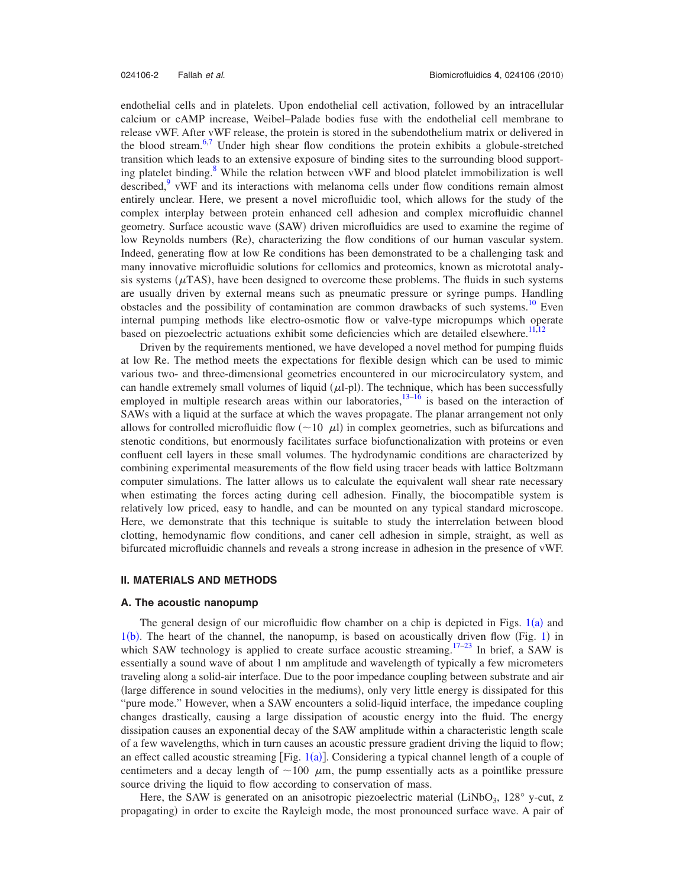endothelial cells and in platelets. Upon endothelial cell activation, followed by an intracellular calcium or cAMP increase, Weibel–Palade bodies fuse with the endothelial cell membrane to release vWF. After vWF release, the protein is stored in the subendothelium matrix or delivered in the blood stream.<sup>6[,7](#page-10-2)</sup> Under high shear flow conditions the protein exhibits a globule-stretched transition which leads to an extensive exposure of binding sites to the surrounding blood supporting platelet binding.<sup>8</sup> While the relation between vWF and blood platelet immobilization is well described, $\frac{9}{2}$  vWF and its interactions with melanoma cells under flow conditions remain almost entirely unclear. Here, we present a novel microfluidic tool, which allows for the study of the complex interplay between protein enhanced cell adhesion and complex microfluidic channel geometry. Surface acoustic wave (SAW) driven microfluidics are used to examine the regime of low Reynolds numbers (Re), characterizing the flow conditions of our human vascular system. Indeed, generating flow at low Re conditions has been demonstrated to be a challenging task and many innovative microfluidic solutions for cellomics and proteomics, known as micrototal analysis systems ( $\mu$ TAS), have been designed to overcome these problems. The fluids in such systems are usually driven by external means such as pneumatic pressure or syringe pumps. Handling obstacles and the possibility of contamination are common drawbacks of such systems.<sup>10</sup> Even internal pumping methods like electro-osmotic flow or valve-type micropumps which operate based on piezoelectric actuations exhibit some deficiencies which are detailed elsewhere.<sup>11,1</sup>

Driven by the requirements mentioned, we have developed a novel method for pumping fluids at low Re. The method meets the expectations for flexible design which can be used to mimic various two- and three-dimensional geometries encountered in our microcirculatory system, and can handle extremely small volumes of liquid  $(\mu l$ -pl). The technique, which has been successfully employed in multiple research areas within our laboratories,  $13-16$  is based on the interaction of SAWs with a liquid at the surface at which the waves propagate. The planar arrangement not only allows for controlled microfluidic flow  $(\sim 10 \mu l)$  in complex geometries, such as bifurcations and stenotic conditions, but enormously facilitates surface biofunctionalization with proteins or even confluent cell layers in these small volumes. The hydrodynamic conditions are characterized by combining experimental measurements of the flow field using tracer beads with lattice Boltzmann computer simulations. The latter allows us to calculate the equivalent wall shear rate necessary when estimating the forces acting during cell adhesion. Finally, the biocompatible system is relatively low priced, easy to handle, and can be mounted on any typical standard microscope. Here, we demonstrate that this technique is suitable to study the interrelation between blood clotting, hemodynamic flow conditions, and caner cell adhesion in simple, straight, as well as bifurcated microfluidic channels and reveals a strong increase in adhesion in the presence of vWF.

#### **II. MATERIALS AND METHODS**

#### **A. The acoustic nanopump**

The general design of our microfluidic flow chamber on a chip is depicted in Figs.  $1(a)$  $1(a)$  and  $1(b)$  $1(b)$ . The heart of the channel, the nanopump, is based on acoustically driven flow (Fig. 1) in which SAW technology is applied to create surface acoustic streaming.<sup>17–[23](#page-10-11)</sup> In brief, a SAW is essentially a sound wave of about 1 nm amplitude and wavelength of typically a few micrometers traveling along a solid-air interface. Due to the poor impedance coupling between substrate and air (large difference in sound velocities in the mediums), only very little energy is dissipated for this "pure mode." However, when a SAW encounters a solid-liquid interface, the impedance coupling changes drastically, causing a large dissipation of acoustic energy into the fluid. The energy dissipation causes an exponential decay of the SAW amplitude within a characteristic length scale of a few wavelengths, which in turn causes an acoustic pressure gradient driving the liquid to flow; an effect called acoustic streaming [Fig.  $1(a)$  $1(a)$ ]. Considering a typical channel length of a couple of centimeters and a decay length of  $\sim$ 100  $\mu$ m, the pump essentially acts as a pointlike pressure source driving the liquid to flow according to conservation of mass.

Here, the SAW is generated on an anisotropic piezoelectric material (LiNbO<sub>3</sub>, 128 $^{\circ}$  y-cut, z propagating) in order to excite the Rayleigh mode, the most pronounced surface wave. A pair of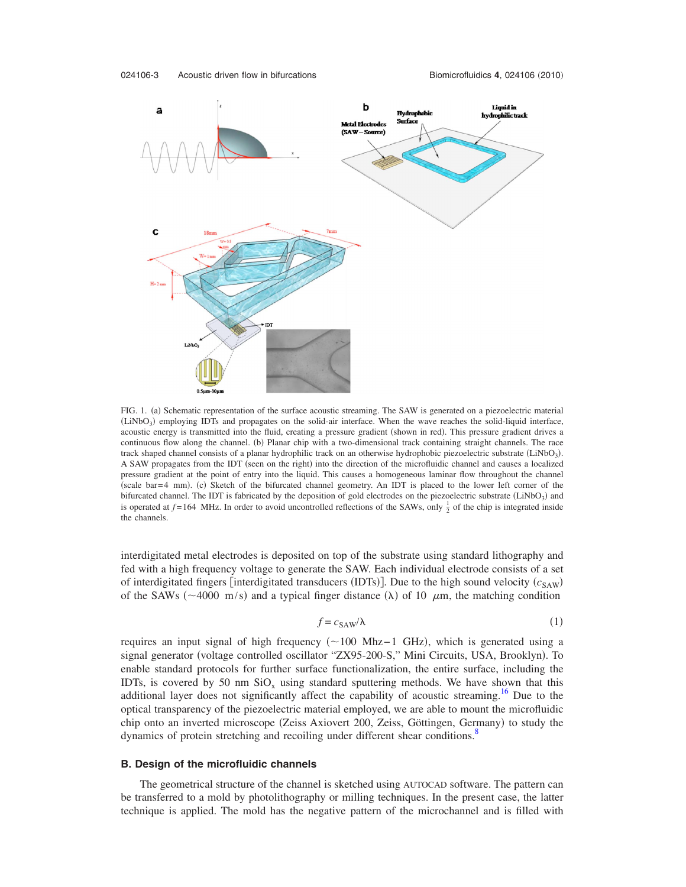<span id="page-3-0"></span>

FIG. 1. (a) Schematic representation of the surface acoustic streaming. The SAW is generated on a piezoelectric material (LiNbO<sub>3</sub>) employing IDTs and propagates on the solid-air interface. When the wave reaches the solid-liquid interface, acoustic energy is transmitted into the fluid, creating a pressure gradient (shown in red). This pressure gradient drives a continuous flow along the channel. (b) Planar chip with a two-dimensional track containing straight channels. The race track shaped channel consists of a planar hydrophilic track on an otherwise hydrophobic piezoelectric substrate (LiNbO<sub>3</sub>). A SAW propagates from the IDT (seen on the right) into the direction of the microfluidic channel and causes a localized pressure gradient at the point of entry into the liquid. This causes a homogeneous laminar flow throughout the channel (scale bar=4 mm). (c) Sketch of the bifurcated channel geometry. An IDT is placed to the lower left corner of the bifurcated channel. The IDT is fabricated by the deposition of gold electrodes on the piezoelectric substrate  $(LiNbO<sub>3</sub>)$  and is operated at  $f = 164$  MHz. In order to avoid uncontrolled reflections of the SAWs, only  $\frac{1}{2}$  of the chip is integrated inside the channels.

interdigitated metal electrodes is deposited on top of the substrate using standard lithography and fed with a high frequency voltage to generate the SAW. Each individual electrode consists of a set of interdigitated fingers [interdigitated transducers (IDTs)]. Due to the high sound velocity ( $c_{SAW}$ ) of the SAWs ( $\sim$ 4000 m/s) and a typical finger distance ( $\lambda$ ) of 10  $\mu$ m, the matching condition

$$
f = c_{\text{SAW}}/\lambda \tag{1}
$$

requires an input signal of high frequency (~100 Mhz−1 GHz), which is generated using a signal generator (voltage controlled oscillator "ZX95-200-S," Mini Circuits, USA, Brooklyn). To enable standard protocols for further surface functionalization, the entire surface, including the IDTs, is covered by 50 nm  $SiO<sub>x</sub>$  using standard sputtering methods. We have shown that this additional layer does not significantly affect the capability of acoustic streaming.<sup>16</sup> Due to the optical transparency of the piezoelectric material employed, we are able to mount the microfluidic chip onto an inverted microscope (Zeiss Axiovert 200, Zeiss, Göttingen, Germany) to study the dynamics of protein stretching and recoiling under different shear conditions.<sup>8</sup>

#### **B. Design of the microfluidic channels**

The geometrical structure of the channel is sketched using AUTOCAD software. The pattern can be transferred to a mold by photolithography or milling techniques. In the present case, the latter technique is applied. The mold has the negative pattern of the microchannel and is filled with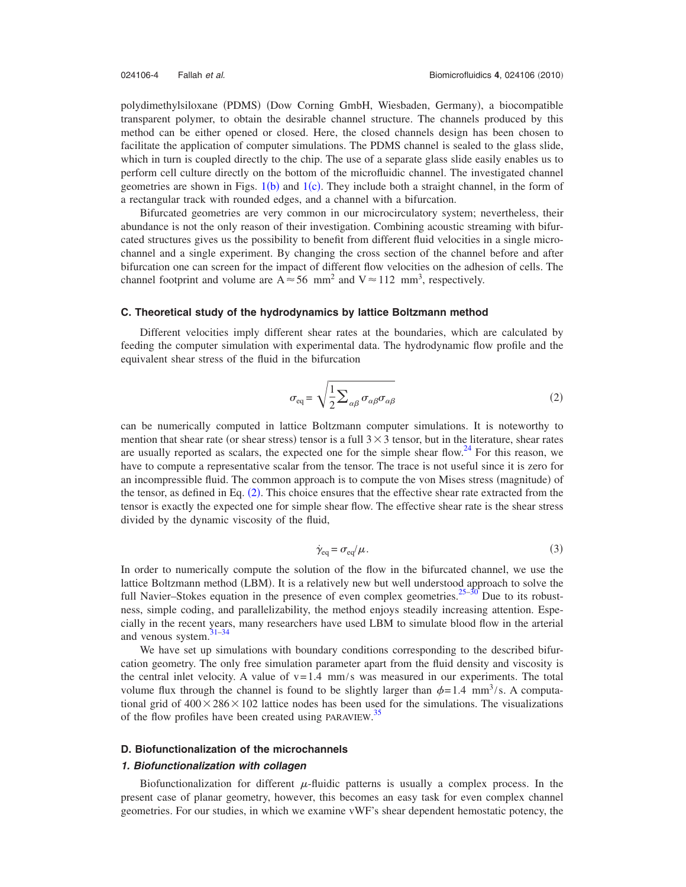polydimethylsiloxane (PDMS) (Dow Corning GmbH, Wiesbaden, Germany), a biocompatible transparent polymer, to obtain the desirable channel structure. The channels produced by this method can be either opened or closed. Here, the closed channels design has been chosen to facilitate the application of computer simulations. The PDMS channel is sealed to the glass slide, which in turn is coupled directly to the chip. The use of a separate glass slide easily enables us to perform cell culture directly on the bottom of the microfluidic channel. The investigated channel geometries are shown in Figs.  $1(b)$  $1(b)$  and  $1(c)$ . They include both a straight channel, in the form of a rectangular track with rounded edges, and a channel with a bifurcation.

Bifurcated geometries are very common in our microcirculatory system; nevertheless, their abundance is not the only reason of their investigation. Combining acoustic streaming with bifurcated structures gives us the possibility to benefit from different fluid velocities in a single microchannel and a single experiment. By changing the cross section of the channel before and after bifurcation one can screen for the impact of different flow velocities on the adhesion of cells. The channel footprint and volume are  $A \approx 56$  mm<sup>2</sup> and  $V \approx 112$  mm<sup>3</sup>, respectively.

#### **C. Theoretical study of the hydrodynamics by lattice Boltzmann method**

<span id="page-4-0"></span>Different velocities imply different shear rates at the boundaries, which are calculated by feeding the computer simulation with experimental data. The hydrodynamic flow profile and the equivalent shear stress of the fluid in the bifurcation

$$
\sigma_{\text{eq}} = \sqrt{\frac{1}{2} \sum_{\alpha \beta} \sigma_{\alpha \beta} \sigma_{\alpha \beta}}
$$
 (2)

can be numerically computed in lattice Boltzmann computer simulations. It is noteworthy to mention that shear rate (or shear stress) tensor is a full  $3 \times 3$  tensor, but in the literature, shear rates are usually reported as scalars, the expected one for the simple shear flow.<sup>24</sup> For this reason, we have to compute a representative scalar from the tensor. The trace is not useful since it is zero for an incompressible fluid. The common approach is to compute the von Mises stress (magnitude) of the tensor, as defined in Eq. ([2](#page-4-0)). This choice ensures that the effective shear rate extracted from the tensor is exactly the expected one for simple shear flow. The effective shear rate is the shear stress divided by the dynamic viscosity of the fluid,

$$
\dot{\gamma}_{\text{eq}} = \sigma_{\text{eq}}/\mu. \tag{3}
$$

In order to numerically compute the solution of the flow in the bifurcated channel, we use the lattice Boltzmann method (LBM). It is a relatively new but well understood approach to solve the full Navier–Stokes equation in the presence of even complex geometries. $25-30$  Due to its robustness, simple coding, and parallelizability, the method enjoys steadily increasing attention. Especially in the recent years, many researchers have used LBM to simulate blood flow in the arterial and venous system.<sup>31-34</sup>

We have set up simulations with boundary conditions corresponding to the described bifurcation geometry. The only free simulation parameter apart from the fluid density and viscosity is the central inlet velocity. A value of  $v=1.4$  mm/s was measured in our experiments. The total volume flux through the channel is found to be slightly larger than  $\phi = 1.4$  mm<sup>3</sup>/s. A computational grid of  $400 \times 286 \times 102$  lattice nodes has been used for the simulations. The visualizations of the flow profiles have been created using PARAVIEW.<sup>[35](#page-10-17)</sup>

#### **D. Biofunctionalization of the microchannels**

#### *1. Biofunctionalization with collagen*

Biofunctionalization for different  $\mu$ -fluidic patterns is usually a complex process. In the present case of planar geometry, however, this becomes an easy task for even complex channel geometries. For our studies, in which we examine vWF's shear dependent hemostatic potency, the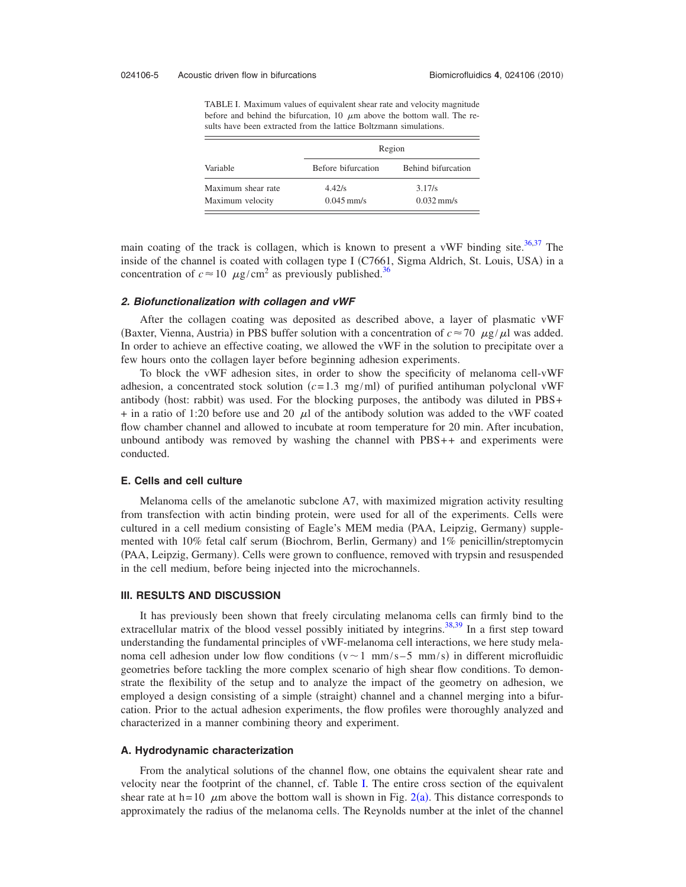<span id="page-5-0"></span>TABLE I. Maximum values of equivalent shear rate and velocity magnitude before and behind the bifurcation, 10  $\mu$ m above the bottom wall. The results have been extracted from the lattice Boltzmann simulations.

| Variable           | Region             |                    |
|--------------------|--------------------|--------------------|
|                    | Before bifurcation | Behind bifurcation |
| Maximum shear rate | 4.42/s             | 3.17/s             |
| Maximum velocity   | $0.045$ mm/s       | $0.032$ mm/s       |

main coating of the track is collagen, which is known to present a vWF binding site.<sup>36,[37](#page-10-19)</sup> The inside of the channel is coated with collagen type I (C7661, Sigma Aldrich, St. Louis, USA) in a concentration of  $c \approx 10 \mu g/cm^2$  as previously published.<sup>36</sup>

#### *2. Biofunctionalization with collagen and vWF*

After the collagen coating was deposited as described above, a layer of plasmatic vWF (Baxter, Vienna, Austria) in PBS buffer solution with a concentration of  $c \approx 70 \mu g/\mu l$  was added. In order to achieve an effective coating, we allowed the vWF in the solution to precipitate over a few hours onto the collagen layer before beginning adhesion experiments.

To block the vWF adhesion sites, in order to show the specificity of melanoma cell-vWF adhesion, a concentrated stock solution  $(c=1.3 \text{ mg/ml})$  of purified antihuman polyclonal vWF antibody (host: rabbit) was used. For the blocking purposes, the antibody was diluted in PBS+  $+$  in a ratio of 1:20 before use and 20  $\mu$  of the antibody solution was added to the vWF coated flow chamber channel and allowed to incubate at room temperature for 20 min. After incubation, unbound antibody was removed by washing the channel with PBS++ and experiments were conducted.

#### **E. Cells and cell culture**

Melanoma cells of the amelanotic subclone A7, with maximized migration activity resulting from transfection with actin binding protein, were used for all of the experiments. Cells were cultured in a cell medium consisting of Eagle's MEM media (PAA, Leipzig, Germany) supplemented with 10% fetal calf serum (Biochrom, Berlin, Germany) and 1% penicillin/streptomycin (PAA, Leipzig, Germany). Cells were grown to confluence, removed with trypsin and resuspended in the cell medium, before being injected into the microchannels.

#### **III. RESULTS AND DISCUSSION**

It has previously been shown that freely circulating melanoma cells can firmly bind to the extracellular matrix of the blood vessel possibly initiated by integrins.<sup>38[,39](#page-10-21)</sup> In a first step toward understanding the fundamental principles of vWF-melanoma cell interactions, we here study melanoma cell adhesion under low flow conditions  $(v \sim 1 \text{ mm/s} - 5 \text{ mm/s})$  in different microfluidic geometries before tackling the more complex scenario of high shear flow conditions. To demonstrate the flexibility of the setup and to analyze the impact of the geometry on adhesion, we employed a design consisting of a simple (straight) channel and a channel merging into a bifurcation. Prior to the actual adhesion experiments, the flow profiles were thoroughly analyzed and characterized in a manner combining theory and experiment.

#### **A. Hydrodynamic characterization**

From the analytical solutions of the channel flow, one obtains the equivalent shear rate and velocity near the footprint of the channel, cf. Table [I.](#page-5-0) The entire cross section of the equivalent shear rate at  $h = 10$   $\mu$ m above the bottom wall is shown in Fig. [2](#page-6-0)(a). This distance corresponds to approximately the radius of the melanoma cells. The Reynolds number at the inlet of the channel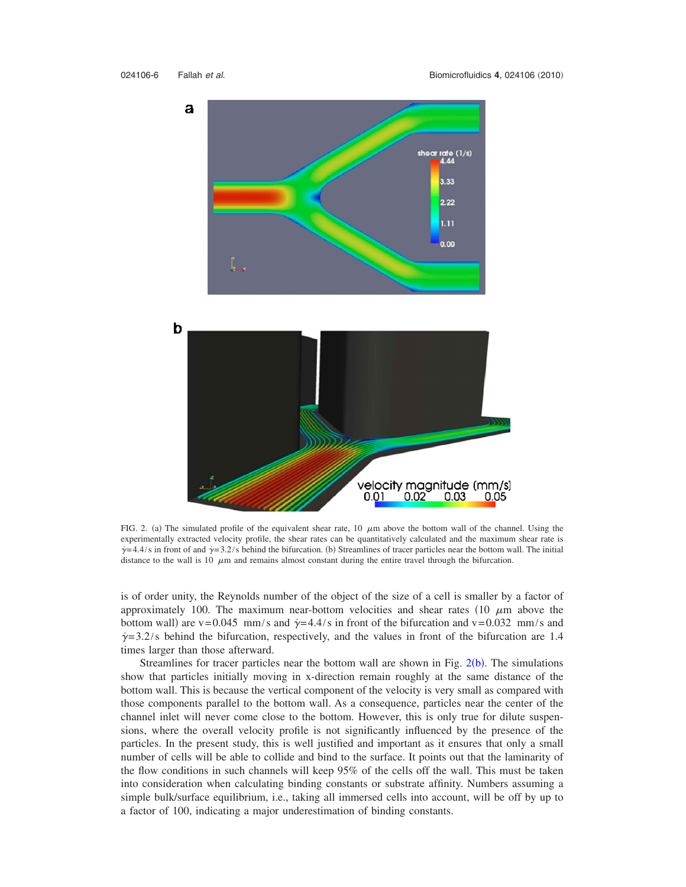<span id="page-6-0"></span>

FIG. 2. (a) The simulated profile of the equivalent shear rate,  $10 \mu m$  above the bottom wall of the channel. Using the experimentally extracted velocity profile, the shear rates can be quantitatively calculated and the maximum shear rate is  $\dot{\gamma}$  = 4.4/s in front of and  $\dot{\gamma}$  = 3.2/s behind the bifurcation. (b) Streamlines of tracer particles near the bottom wall. The initial distance to the wall is 10  $\mu$ m and remains almost constant during the entire travel through the bifurcation.

is of order unity, the Reynolds number of the object of the size of a cell is smaller by a factor of approximately 100. The maximum near-bottom velocities and shear rates (10  $\mu$ m above the bottom wall) are v=0.045 mm/s and  $\dot{\gamma}$ =4.4/s in front of the bifurcation and v=0.032 mm/s and  $\dot{\gamma}$  = 3.2/s behind the bifurcation, respectively, and the values in front of the bifurcation are 1.4 times larger than those afterward.

Streamlines for tracer particles near the bottom wall are shown in Fig.  $2(b)$  $2(b)$ . The simulations show that particles initially moving in x-direction remain roughly at the same distance of the bottom wall. This is because the vertical component of the velocity is very small as compared with those components parallel to the bottom wall. As a consequence, particles near the center of the channel inlet will never come close to the bottom. However, this is only true for dilute suspensions, where the overall velocity profile is not significantly influenced by the presence of the particles. In the present study, this is well justified and important as it ensures that only a small number of cells will be able to collide and bind to the surface. It points out that the laminarity of the flow conditions in such channels will keep 95% of the cells off the wall. This must be taken into consideration when calculating binding constants or substrate affinity. Numbers assuming a simple bulk/surface equilibrium, i.e., taking all immersed cells into account, will be off by up to a factor of 100, indicating a major underestimation of binding constants.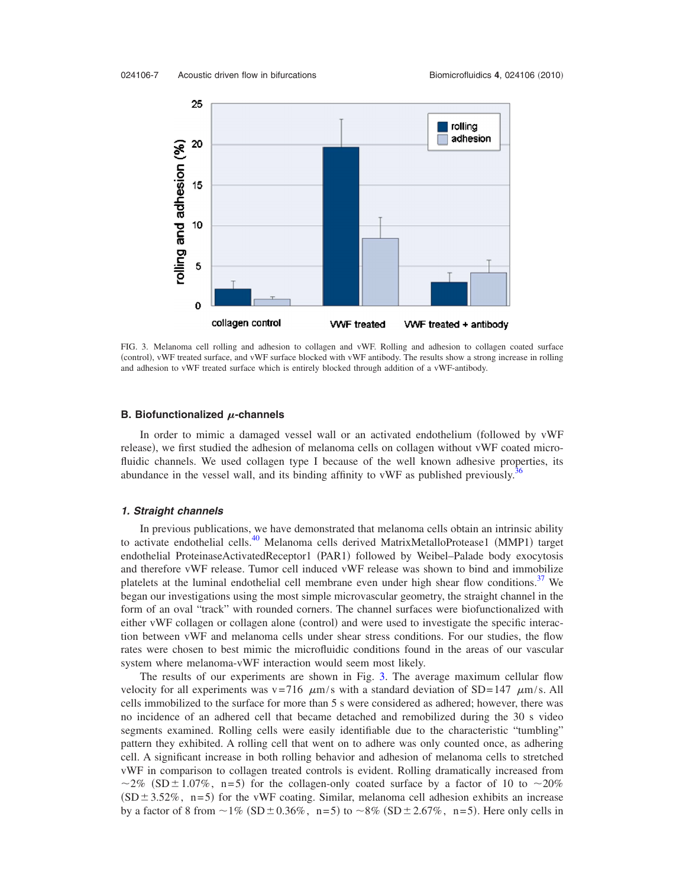<span id="page-7-0"></span>

FIG. 3. Melanoma cell rolling and adhesion to collagen and vWF. Rolling and adhesion to collagen coated surface (control), vWF treated surface, and vWF surface blocked with vWF antibody. The results show a strong increase in rolling and adhesion to vWF treated surface which is entirely blocked through addition of a vWF-antibody.

#### **B. Biofunctionalized**  $\mu$ -channels

In order to mimic a damaged vessel wall or an activated endothelium followed by vWF release), we first studied the adhesion of melanoma cells on collagen without vWF coated microfluidic channels. We used collagen type I because of the well known adhesive properties, its abundance in the vessel wall, and its binding affinity to vWF as published previously.<sup>3</sup>

#### *1. Straight channels*

In previous publications, we have demonstrated that melanoma cells obtain an intrinsic ability to activate endothelial cells.<sup>40</sup> Melanoma cells derived MatrixMetalloProtease1 (MMP1) target endothelial ProteinaseActivatedReceptor1 (PAR1) followed by Weibel-Palade body exocytosis and therefore vWF release. Tumor cell induced vWF release was shown to bind and immobilize platelets at the luminal endothelial cell membrane even under high shear flow conditions.<sup>37</sup> We began our investigations using the most simple microvascular geometry, the straight channel in the form of an oval "track" with rounded corners. The channel surfaces were biofunctionalized with either vWF collagen or collagen alone (control) and were used to investigate the specific interaction between vWF and melanoma cells under shear stress conditions. For our studies, the flow rates were chosen to best mimic the microfluidic conditions found in the areas of our vascular system where melanoma-vWF interaction would seem most likely.

The results of our experiments are shown in Fig. [3.](#page-7-0) The average maximum cellular flow velocity for all experiments was v=716  $\mu$ m/s with a standard deviation of SD=147  $\mu$ m/s. All cells immobilized to the surface for more than 5 s were considered as adhered; however, there was no incidence of an adhered cell that became detached and remobilized during the 30 s video segments examined. Rolling cells were easily identifiable due to the characteristic "tumbling" pattern they exhibited. A rolling cell that went on to adhere was only counted once, as adhering cell. A significant increase in both rolling behavior and adhesion of melanoma cells to stretched vWF in comparison to collagen treated controls is evident. Rolling dramatically increased from ~2% (SD  $\pm$  1.07%, n=5) for the collagen-only coated surface by a factor of 10 to ~20%  $(SD \pm 3.52\%$ , n=5) for the vWF coating. Similar, melanoma cell adhesion exhibits an increase by a factor of 8 from  $\sim$  1% (SD  $\pm$  0.36%, n=5) to  $\sim$  8% (SD  $\pm$  2.67%, n=5). Here only cells in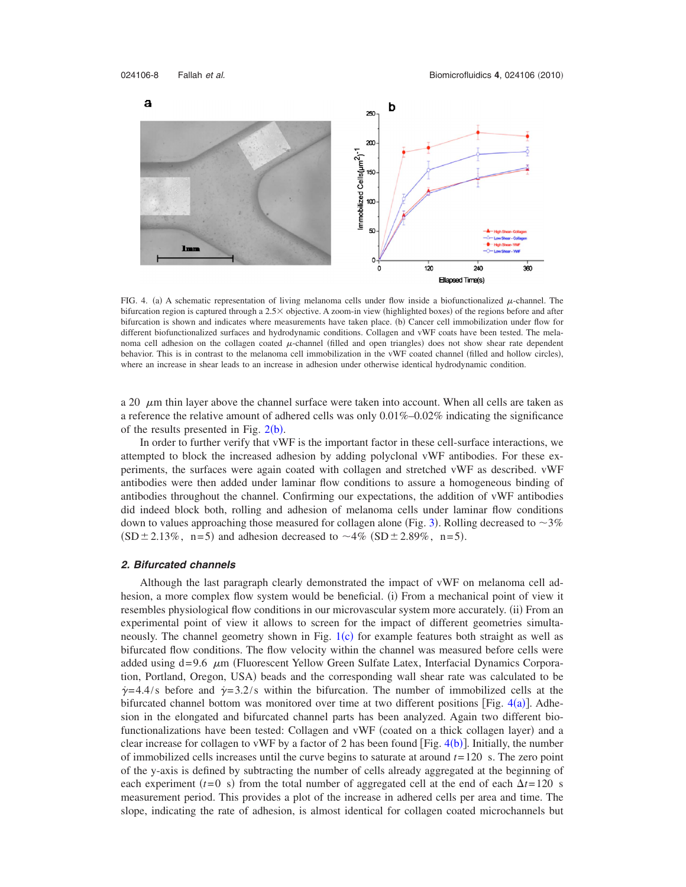<span id="page-8-0"></span>

FIG. 4. (a) A schematic representation of living melanoma cells under flow inside a biofunctionalized  $\mu$ -channel. The bifurcation region is captured through a 2.5  $\times$  objective. A zoom-in view (highlighted boxes) of the regions before and after bifurcation is shown and indicates where measurements have taken place. (b) Cancer cell immobilization under flow for different biofunctionalized surfaces and hydrodynamic conditions. Collagen and vWF coats have been tested. The melanoma cell adhesion on the collagen coated  $\mu$ -channel (filled and open triangles) does not show shear rate dependent behavior. This is in contrast to the melanoma cell immobilization in the vWF coated channel (filled and hollow circles), where an increase in shear leads to an increase in adhesion under otherwise identical hydrodynamic condition.

a 20  $\mu$ m thin layer above the channel surface were taken into account. When all cells are taken as a reference the relative amount of adhered cells was only  $0.01\%$ –0.02% indicating the significance of the results presented in Fig.  $2(b)$  $2(b)$ .

In order to further verify that vWF is the important factor in these cell-surface interactions, we attempted to block the increased adhesion by adding polyclonal vWF antibodies. For these experiments, the surfaces were again coated with collagen and stretched vWF as described. vWF antibodies were then added under laminar flow conditions to assure a homogeneous binding of antibodies throughout the channel. Confirming our expectations, the addition of vWF antibodies did indeed block both, rolling and adhesion of melanoma cells under laminar flow conditions down to values approaching those measured for collagen alone (Fig. [3](#page-7-0)). Rolling decreased to  $\sim$ 3%  $(SD \pm 2.13\%, n=5)$  and adhesion decreased to  $\sim 4\%$   $(SD \pm 2.89\%, n=5)$ .

#### *2. Bifurcated channels*

Although the last paragraph clearly demonstrated the impact of vWF on melanoma cell adhesion, a more complex flow system would be beneficial. (i) From a mechanical point of view it resembles physiological flow conditions in our microvascular system more accurately. (ii) From an experimental point of view it allows to screen for the impact of different geometries simultaneously. The channel geometry shown in Fig.  $1(c)$  $1(c)$  for example features both straight as well as bifurcated flow conditions. The flow velocity within the channel was measured before cells were added using  $d=9.6 \mu m$  (Fluorescent Yellow Green Sulfate Latex, Interfacial Dynamics Corporation, Portland, Oregon, USA) beads and the corresponding wall shear rate was calculated to be  $\dot{\gamma}$  = 4.4/s before and  $\dot{\gamma}$  = 3.2/s within the bifurcation. The number of immobilized cells at the bifurcated channel bottom was monitored over time at two different positions [Fig.  $4(a)$  $4(a)$ ]. Adhesion in the elongated and bifurcated channel parts has been analyzed. Again two different biofunctionalizations have been tested: Collagen and vWF (coated on a thick collagen layer) and a clear increase for collagen to vWF by a factor of 2 has been found [Fig.  $4(b)$  $4(b)$ ]. Initially, the number of immobilized cells increases until the curve begins to saturate at around *t*= 120 s. The zero point of the y-axis is defined by subtracting the number of cells already aggregated at the beginning of each experiment ( $t=0$  s) from the total number of aggregated cell at the end of each  $\Delta t = 120$  s measurement period. This provides a plot of the increase in adhered cells per area and time. The slope, indicating the rate of adhesion, is almost identical for collagen coated microchannels but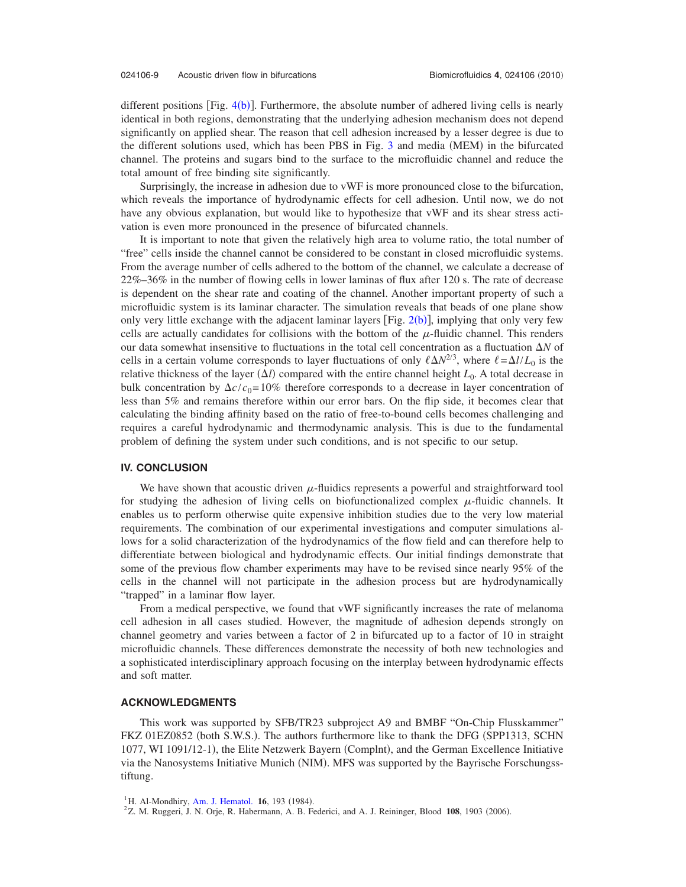different positions [Fig.  $4(b)$  $4(b)$ ]. Furthermore, the absolute number of adhered living cells is nearly identical in both regions, demonstrating that the underlying adhesion mechanism does not depend significantly on applied shear. The reason that cell adhesion increased by a lesser degree is due to the different solutions used, which has been PBS in Fig. [3](#page-7-0) and media (MEM) in the bifurcated channel. The proteins and sugars bind to the surface to the microfluidic channel and reduce the total amount of free binding site significantly.

Surprisingly, the increase in adhesion due to vWF is more pronounced close to the bifurcation, which reveals the importance of hydrodynamic effects for cell adhesion. Until now, we do not have any obvious explanation, but would like to hypothesize that vWF and its shear stress activation is even more pronounced in the presence of bifurcated channels.

It is important to note that given the relatively high area to volume ratio, the total number of "free" cells inside the channel cannot be considered to be constant in closed microfluidic systems. From the average number of cells adhered to the bottom of the channel, we calculate a decrease of 22%–36% in the number of flowing cells in lower laminas of flux after 120 s. The rate of decrease is dependent on the shear rate and coating of the channel. Another important property of such a microfluidic system is its laminar character. The simulation reveals that beads of one plane show only very little exchange with the adjacent laminar layers [Fig.  $2(b)$  $2(b)$ ], implying that only very few cells are actually candidates for collisions with the bottom of the  $\mu$ -fluidic channel. This renders our data somewhat insensitive to fluctuations in the total cell concentration as a fluctuation *N* of cells in a certain volume corresponds to layer fluctuations of only  $\ell \Delta N^{2/3}$ , where  $\ell = \Delta l / L_0$  is the relative thickness of the layer  $(\Delta l)$  compared with the entire channel height  $L_0$ . A total decrease in bulk concentration by  $\Delta c/c_0 = 10\%$  therefore corresponds to a decrease in layer concentration of less than 5% and remains therefore within our error bars. On the flip side, it becomes clear that calculating the binding affinity based on the ratio of free-to-bound cells becomes challenging and requires a careful hydrodynamic and thermodynamic analysis. This is due to the fundamental problem of defining the system under such conditions, and is not specific to our setup.

#### **IV. CONCLUSION**

We have shown that acoustic driven  $\mu$ -fluidics represents a powerful and straightforward tool for studying the adhesion of living cells on biofunctionalized complex  $\mu$ -fluidic channels. It enables us to perform otherwise quite expensive inhibition studies due to the very low material requirements. The combination of our experimental investigations and computer simulations allows for a solid characterization of the hydrodynamics of the flow field and can therefore help to differentiate between biological and hydrodynamic effects. Our initial findings demonstrate that some of the previous flow chamber experiments may have to be revised since nearly 95% of the cells in the channel will not participate in the adhesion process but are hydrodynamically "trapped" in a laminar flow layer.

From a medical perspective, we found that vWF significantly increases the rate of melanoma cell adhesion in all cases studied. However, the magnitude of adhesion depends strongly on channel geometry and varies between a factor of 2 in bifurcated up to a factor of 10 in straight microfluidic channels. These differences demonstrate the necessity of both new technologies and a sophisticated interdisciplinary approach focusing on the interplay between hydrodynamic effects and soft matter.

#### **ACKNOWLEDGMENTS**

This work was supported by SFB/TR23 subproject A9 and BMBF "On-Chip Flusskammer" FKZ 01EZ0852 (both S.W.S.). The authors furthermore like to thank the DFG (SPP1313, SCHN 1077, WI 1091/12-1), the Elite Netzwerk Bayern (Complnt), and the German Excellence Initiative via the Nanosystems Initiative Munich (NIM). MFS was supported by the Bayrische Forschungsstiftung.

<span id="page-9-1"></span><span id="page-9-0"></span><sup>&</sup>lt;sup>1</sup>H. Al-Mondhiry, [Am. J. Hematol.](http://dx.doi.org/10.1002/ajh.2830160213) **16**, 193 (1984).

Z. M. Ruggeri, J. N. Orje, R. Habermann, A. B. Federici, and A. J. Reininger, Blood 108, 1903 (2006).